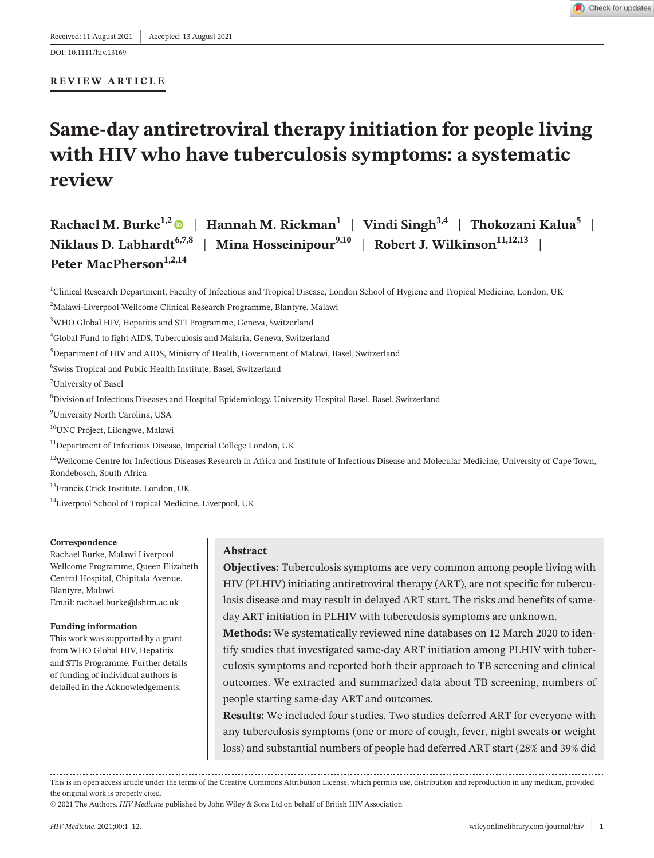DOI: 10.1111/hiv.13169

#### **REVIEW ARTICLE**

# **Same-day antiretroviral therapy initiation for people living with HIV who have tuberculosis symptoms: a systematic review**

Rachael M. Burke<sup>1,2</sup> | Hannah M. Rickman<sup>1</sup> | Vindi Singh<sup>3,4</sup> | Thokozani Kalua<sup>5</sup> | **Niklaus D. Labhardt**<sup>6,7,8</sup> | **Mina Hosseinipour**<sup>9,10</sup> | **Robert J. Wilkinson**<sup>11,12,13</sup> | Peter MacPherson<sup>1,2,14</sup>

<sup>1</sup>Clinical Research Department, Faculty of Infectious and Tropical Disease, London School of Hygiene and Tropical Medicine, London, UK

<sup>2</sup>Malawi-Liverpool-Wellcome Clinical Research Programme, Blantyre, Malawi

3 WHO Global HIV, Hepatitis and STI Programme, Geneva, Switzerland

4 Global Fund to fight AIDS, Tuberculosis and Malaria, Geneva, Switzerland

5 Department of HIV and AIDS, Ministry of Health, Government of Malawi, Basel, Switzerland

6 Swiss Tropical and Public Health Institute, Basel, Switzerland

7 University of Basel

8 Division of Infectious Diseases and Hospital Epidemiology, University Hospital Basel, Basel, Switzerland

9 University North Carolina, USA

10UNC Project, Lilongwe, Malawi

 $^{11}$ Department of Infectious Disease, Imperial College London, UK

<sup>12</sup>Wellcome Centre for Infectious Diseases Research in Africa and Institute of Infectious Disease and Molecular Medicine, University of Cape Town, Rondebosch, South Africa

13Francis Crick Institute, London, UK

<sup>14</sup>Liverpool School of Tropical Medicine, Liverpool, UK

#### **Correspondence**

Rachael Burke, Malawi Liverpool Wellcome Programme, Queen Elizabeth Central Hospital, Chipitala Avenue, Blantyre, Malawi. Email: [rachael.burke@lshtm.ac.uk](mailto:rachael.burke@lshtm.ac.uk)

#### **Funding information**

This work was supported by a grant from WHO Global HIV, Hepatitis and STIs Programme. Further details of funding of individual authors is detailed in the Acknowledgements.

## **Abstract**

**Objectives:** Tuberculosis symptoms are very common among people living with HIV (PLHIV) initiating antiretroviral therapy (ART), are not specific for tuberculosis disease and may result in delayed ART start. The risks and benefits of sameday ART initiation in PLHIV with tuberculosis symptoms are unknown.

**Methods:** We systematically reviewed nine databases on 12 March 2020 to identify studies that investigated same-day ART initiation among PLHIV with tuberculosis symptoms and reported both their approach to TB screening and clinical outcomes. We extracted and summarized data about TB screening, numbers of people starting same-day ART and outcomes.

**Results:** We included four studies. Two studies deferred ART for everyone with any tuberculosis symptoms (one or more of cough, fever, night sweats or weight loss) and substantial numbers of people had deferred ART start (28% and 39% did

This is an open access article under the terms of the Creative Commons [Attribution](http://creativecommons.org/licenses/by/4.0/) License, which permits use, distribution and reproduction in any medium, provided the original work is properly cited.

© 2021 The Authors. *HIV Medicine* published by John Wiley & Sons Ltd on behalf of British HIV Association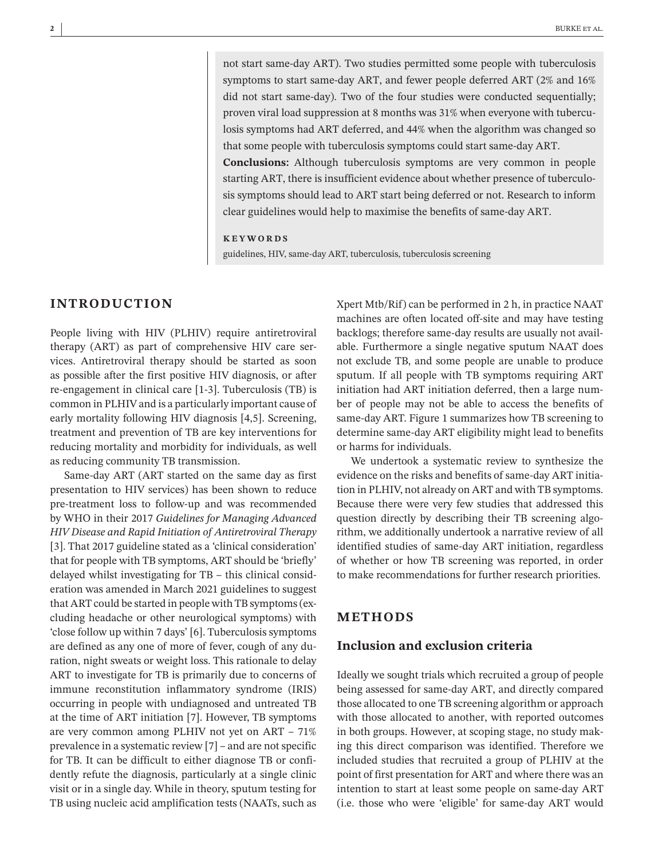not start same-day ART). Two studies permitted some people with tuberculosis symptoms to start same-day ART, and fewer people deferred ART (2% and 16% did not start same-day). Two of the four studies were conducted sequentially; proven viral load suppression at 8 months was 31% when everyone with tuberculosis symptoms had ART deferred, and 44% when the algorithm was changed so that some people with tuberculosis symptoms could start same-day ART. **Conclusions:** Although tuberculosis symptoms are very common in people

starting ART, there is insufficient evidence about whether presence of tuberculosis symptoms should lead to ART start being deferred or not. Research to inform clear guidelines would help to maximise the benefits of same-day ART.

#### **KEYWORDS**

guidelines, HIV, same-day ART, tuberculosis, tuberculosis screening

# **INTRODUCTION**

People living with HIV (PLHIV) require antiretroviral therapy (ART) as part of comprehensive HIV care services. Antiretroviral therapy should be started as soon as possible after the first positive HIV diagnosis, or after re-engagement in clinical care [1-3]. Tuberculosis (TB) is common in PLHIVand is a particularly important cause of early mortality following HIV diagnosis [4,5]. Screening, treatment and prevention of TB are key interventions for reducing mortality and morbidity for individuals, as well as reducing community TB transmission.

Same-day ART (ART started on the same day as first presentation to HIV services) has been shown to reduce pre-treatment loss to follow-up and was recommended by WHO in their 2017 *Guidelines for Managing Advanced HIV Disease and Rapid Initiation of Antiretroviral Therapy* [3]. That 2017 guideline stated as a 'clinical consideration' that for people with TB symptoms, ART should be 'briefly' delayed whilst investigating for TB – this clinical consideration was amended in March 2021 guidelines to suggest that ART could be started in people with TB symptoms(excluding headache or other neurological symptoms) with 'close follow up within 7 days' [6]. Tuberculosis symptoms are defined as any one of more of fever, cough of any duration, night sweats or weight loss. This rationale to delay ART to investigate for TB is primarily due to concerns of immune reconstitution inflammatory syndrome (IRIS) occurring in people with undiagnosed and untreated TB at the time of ART initiation [7]. However, TB symptoms are very common among PLHIV not yet on ART – 71% prevalence in a systematic review  $[7]$  – and are not specific for TB. It can be difficult to either diagnose TB or confidently refute the diagnosis, particularly at a single clinic visit or in a single day. While in theory, sputum testing for TB using nucleic acid amplification tests (NAATs, such as Xpert Mtb/Rif) can be performed in 2 h, in practice NAAT machines are often located off-site and may have testing backlogs; therefore same-day results are usually not available. Furthermore a single negative sputum NAAT does not exclude TB, and some people are unable to produce sputum. If all people with TB symptoms requiring ART initiation had ART initiation deferred, then a large number of people may not be able to access the benefits of same-day ART. Figure 1 summarizes how TB screening to determine same-day ART eligibility might lead to benefits or harms for individuals.

We undertook a systematic review to synthesize the evidence on the risks and benefits of same-day ART initiation in PLHIV, not already on ART and with TB symptoms. Because there were very few studies that addressed this question directly by describing their TB screening algorithm, we additionally undertook a narrative review of all identified studies of same-day ART initiation, regardless of whether or how TB screening was reported, in order to make recommendations for further research priorities.

# **METHODS**

# **Inclusion and exclusion criteria**

Ideally we sought trials which recruited a group of people being assessed for same-day ART, and directly compared those allocated to one TB screening algorithm or approach with those allocated to another, with reported outcomes in both groups. However, at scoping stage, no study making this direct comparison was identified. Therefore we included studies that recruited a group of PLHIV at the point of first presentation for ART and where there was an intention to start at least some people on same-day ART (i.e. those who were 'eligible' for same-day ART would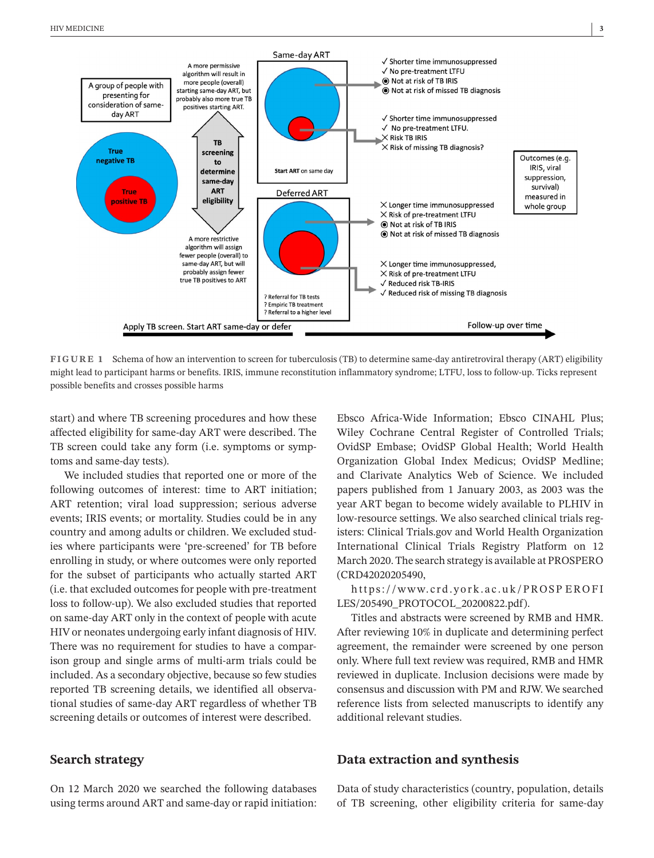

**FIGURE 1** Schema of how an intervention to screen for tuberculosis (TB) to determine same-day antiretroviral therapy (ART) eligibility might lead to participant harms or benefits. IRIS, immune reconstitution inflammatory syndrome; LTFU, loss to follow-up. Ticks represent possible benefits and crosses possible harms

start) and where TB screening procedures and how these affected eligibility for same-day ART were described. The TB screen could take any form (i.e. symptoms or symptoms and same-day tests).

We included studies that reported one or more of the following outcomes of interest: time to ART initiation; ART retention; viral load suppression; serious adverse events; IRIS events; or mortality. Studies could be in any country and among adults or children. We excluded studies where participants were 'pre-screened' for TB before enrolling in study, or where outcomes were only reported for the subset of participants who actually started ART (i.e. that excluded outcomes for people with pre-treatment loss to follow-up). We also excluded studies that reported on same-day ART only in the context of people with acute HIV or neonates undergoing early infant diagnosis of HIV. There was no requirement for studies to have a comparison group and single arms of multi-arm trials could be included. As a secondary objective, because so few studies reported TB screening details, we identified all observational studies of same-day ART regardless of whether TB screening details or outcomes of interest were described.

# **Search strategy**

On 12 March 2020 we searched the following databases using terms around ART and same-day or rapid initiation:

Ebsco Africa-Wide Information; Ebsco CINAHL Plus; Wiley Cochrane Central Register of Controlled Trials; OvidSP Embase; OvidSP Global Health; World Health Organization Global Index Medicus; OvidSP Medline; and Clarivate Analytics Web of Science. We included papers published from 1 January 2003, as 2003 was the year ART began to become widely available to PLHIV in low-resource settings. We also searched clinical trials registers: Clinical Trials.gov and World Health Organization International Clinical Trials Registry Platform on 12 March 2020. The search strategy is available at PROSPERO (CRD42020205490,

[https://www.crd.york.ac.uk/PROSP](https://www.crd.york.ac.uk/PROSPEROFILES/205490_PROTOCOL_20200822.pdf) EROFI [LES/205490\\_PROTOCOL\\_20200822.pdf\)](https://www.crd.york.ac.uk/PROSPEROFILES/205490_PROTOCOL_20200822.pdf).

Titles and abstracts were screened by RMB and HMR. After reviewing 10% in duplicate and determining perfect agreement, the remainder were screened by one person only. Where full text review was required, RMB and HMR reviewed in duplicate. Inclusion decisions were made by consensus and discussion with PM and RJW. We searched reference lists from selected manuscripts to identify any additional relevant studies.

## **Data extraction and synthesis**

Data of study characteristics (country, population, details of TB screening, other eligibility criteria for same-day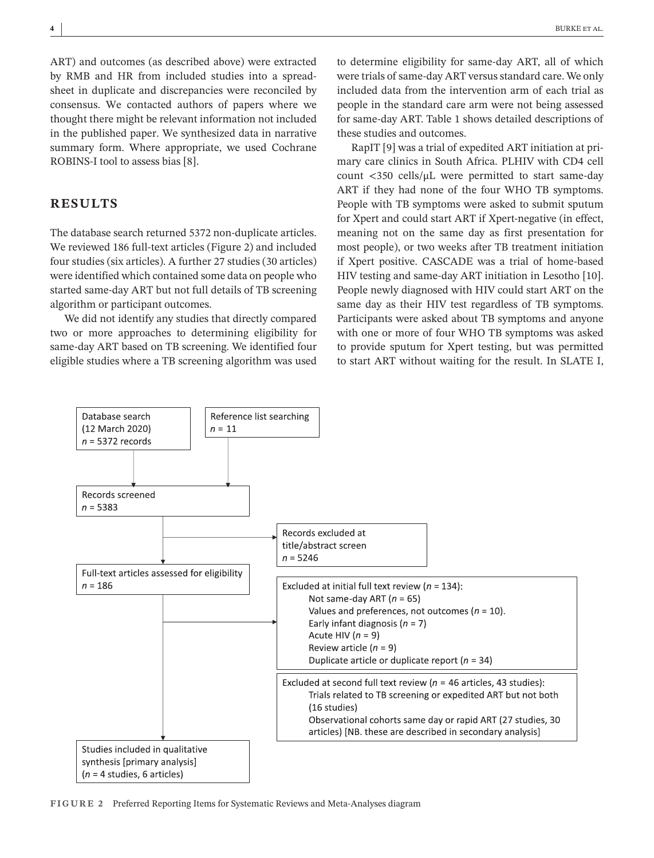ART) and outcomes (as described above) were extracted by RMB and HR from included studies into a spreadsheet in duplicate and discrepancies were reconciled by consensus. We contacted authors of papers where we thought there might be relevant information not included in the published paper. We synthesized data in narrative summary form. Where appropriate, we used Cochrane ROBINS-I tool to assess bias [8].

# **RESULTS**

The database search returned 5372 non-duplicate articles. We reviewed 186 full-text articles (Figure 2) and included four studies (six articles). A further 27 studies (30 articles) were identified which contained some data on people who started same-day ART but not full details of TB screening algorithm or participant outcomes.

We did not identify any studies that directly compared two or more approaches to determining eligibility for same-day ART based on TB screening. We identified four eligible studies where a TB screening algorithm was used to determine eligibility for same-day ART, all of which were trials of same-day ART versus standard care. We only included data from the intervention arm of each trial as people in the standard care arm were not being assessed for same-day ART. Table 1 shows detailed descriptions of these studies and outcomes.

RapIT [9] was a trial of expedited ART initiation at primary care clinics in South Africa. PLHIV with CD4 cell count  $\langle 350 \text{ cells/}\mu L \rangle$  were permitted to start same-day ART if they had none of the four WHO TB symptoms. People with TB symptoms were asked to submit sputum for Xpert and could start ART if Xpert-negative (in effect, meaning not on the same day as first presentation for most people), or two weeks after TB treatment initiation if Xpert positive. CASCADE was a trial of home-based HIV testing and same-day ART initiation in Lesotho [10]. People newly diagnosed with HIV could start ART on the same day as their HIV test regardless of TB symptoms. Participants were asked about TB symptoms and anyone with one or more of four WHO TB symptoms was asked to provide sputum for Xpert testing, but was permitted to start ART without waiting for the result. In SLATE I,



**FIGURE 2** Preferred Reporting Items for Systematic Reviews and Meta-Analyses diagram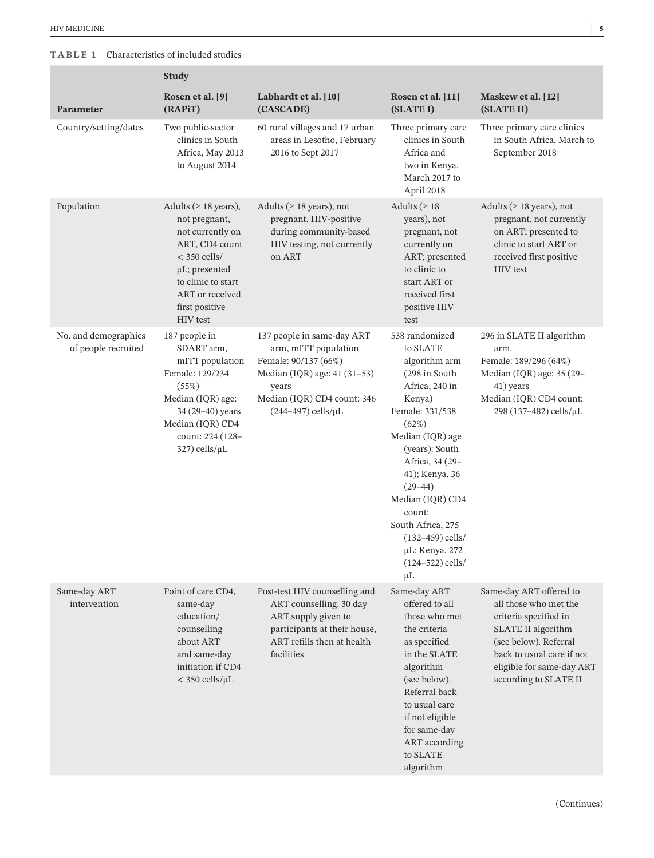п

# **TABLE 1** Characteristics of included studies

|                                             | <b>Study</b>                                                                                                                                                                                             |                                                                                                                                                                                  |                                                                                                                                                                                                                                                                                                                                              |                                                                                                                                                                                                             |
|---------------------------------------------|----------------------------------------------------------------------------------------------------------------------------------------------------------------------------------------------------------|----------------------------------------------------------------------------------------------------------------------------------------------------------------------------------|----------------------------------------------------------------------------------------------------------------------------------------------------------------------------------------------------------------------------------------------------------------------------------------------------------------------------------------------|-------------------------------------------------------------------------------------------------------------------------------------------------------------------------------------------------------------|
| Parameter                                   | Rosen et al. [9]<br>(RAPiT)                                                                                                                                                                              | Labhardt et al. [10]<br>(CASCADE)                                                                                                                                                | Rosen et al. [11]<br>(SLATE I)                                                                                                                                                                                                                                                                                                               | Maskew et al. [12]<br>(SLATE II)                                                                                                                                                                            |
| Country/setting/dates                       | Two public-sector<br>clinics in South<br>Africa, May 2013<br>to August 2014                                                                                                                              | 60 rural villages and 17 urban<br>areas in Lesotho, February<br>2016 to Sept 2017                                                                                                | Three primary care<br>clinics in South<br>Africa and<br>two in Kenya,<br>March 2017 to<br>April 2018                                                                                                                                                                                                                                         | Three primary care clinics<br>in South Africa, March to<br>September 2018                                                                                                                                   |
| Population                                  | Adults ( $\geq$ 18 years),<br>not pregnant,<br>not currently on<br>ART, CD4 count<br>$<$ 350 cells/<br>$\mu L$ ; presented<br>to clinic to start<br>ART or received<br>first positive<br><b>HIV</b> test | Adults ( $\geq$ 18 years), not<br>pregnant, HIV-positive<br>during community-based<br>HIV testing, not currently<br>on ART                                                       | Adults ( $\geq 18$<br>years), not<br>pregnant, not<br>currently on<br>ART; presented<br>to clinic to<br>start ART or<br>received first<br>positive HIV<br>test                                                                                                                                                                               | Adults ( $\geq$ 18 years), not<br>pregnant, not currently<br>on ART; presented to<br>clinic to start ART or<br>received first positive<br><b>HIV</b> test                                                   |
| No. and demographics<br>of people recruited | 187 people in<br>SDART arm,<br>mITT population<br>Female: 129/234<br>(55%)<br>Median (IQR) age:<br>34 (29-40) years<br>Median (IQR) CD4<br>count: 224 (128-<br>$327)$ cells/ $\mu$ L                     | 137 people in same-day ART<br>arm, mITT population<br>Female: 90/137 (66%)<br>Median (IQR) age: 41 (31-53)<br>years<br>Median (IQR) CD4 count: 346<br>$(244-497)$ cells/ $\mu$ L | 538 randomized<br>to SLATE<br>algorithm arm<br>(298 in South<br>Africa, 240 in<br>Kenya)<br>Female: 331/538<br>(62%)<br>Median (IQR) age<br>(years): South<br>Africa, 34 (29-<br>41); Kenya, 36<br>$(29-44)$<br>Median (IQR) CD4<br>count:<br>South Africa, 275<br>$(132 - 459)$ cells/<br>µL; Kenya, 272<br>$(124 - 522)$ cells/<br>$\mu$ L | 296 in SLATE II algorithm<br>arm.<br>Female: 189/296 (64%)<br>Median (IQR) age: 35 (29-<br>41) years<br>Median (IQR) CD4 count:<br>298 (137-482) cells/µL                                                   |
| Same-day ART<br>intervention                | Point of care CD4,<br>same-day<br>education/<br>counselling<br>about ART<br>and same-day<br>initiation if CD4<br>$<$ 350 cells/ $\mu$ L                                                                  | Post-test HIV counselling and<br>ART counselling. 30 day<br>ART supply given to<br>participants at their house,<br>ART refills then at health<br>facilities                      | Same-day ART<br>offered to all<br>those who met<br>the criteria<br>as specified<br>in the SLATE<br>algorithm<br>(see below).<br>Referral back<br>to usual care<br>if not eligible<br>for same-day<br>ART according<br>to SLATE<br>algorithm                                                                                                  | Same-day ART offered to<br>all those who met the<br>criteria specified in<br>SLATE II algorithm<br>(see below). Referral<br>back to usual care if not<br>eligible for same-day ART<br>according to SLATE II |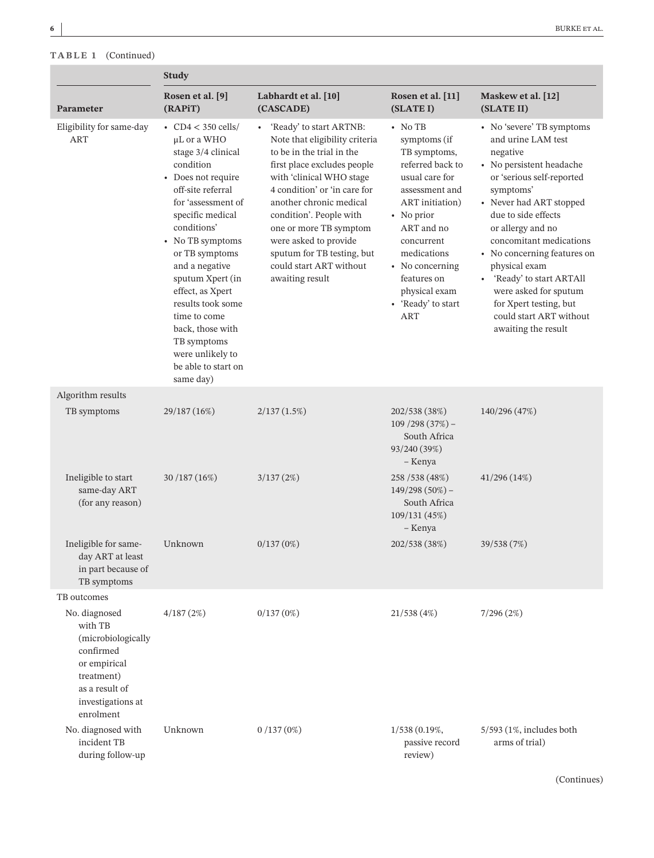**TABLE 1** (Continued)

|                                                                                                                                               | <b>Study</b>                                                                                                                                                                                                                                                                                                                                                                                               |                                                                                                                                                                                                                                                                                                                                                                        |                                                                                                                                                                                                                                                                   |                                                                                                                                                                                                                                                                                                                                                                                                                                  |
|-----------------------------------------------------------------------------------------------------------------------------------------------|------------------------------------------------------------------------------------------------------------------------------------------------------------------------------------------------------------------------------------------------------------------------------------------------------------------------------------------------------------------------------------------------------------|------------------------------------------------------------------------------------------------------------------------------------------------------------------------------------------------------------------------------------------------------------------------------------------------------------------------------------------------------------------------|-------------------------------------------------------------------------------------------------------------------------------------------------------------------------------------------------------------------------------------------------------------------|----------------------------------------------------------------------------------------------------------------------------------------------------------------------------------------------------------------------------------------------------------------------------------------------------------------------------------------------------------------------------------------------------------------------------------|
| Parameter                                                                                                                                     | Rosen et al. [9]<br>(RAPIT)                                                                                                                                                                                                                                                                                                                                                                                | Labhardt et al. [10]<br>(CASCADE)                                                                                                                                                                                                                                                                                                                                      | Rosen et al. [11]<br>(SLATE I)                                                                                                                                                                                                                                    | Maskew et al. [12]<br>(SLATE II)                                                                                                                                                                                                                                                                                                                                                                                                 |
| Eligibility for same-day<br><b>ART</b>                                                                                                        | • $CD4 < 350$ cells/<br>μL or a WHO<br>stage 3/4 clinical<br>condition<br>• Does not require<br>off-site referral<br>for 'assessment of<br>specific medical<br>conditions'<br>• No TB symptoms<br>or TB symptoms<br>and a negative<br>sputum Xpert (in<br>effect, as Xpert<br>results took some<br>time to come<br>back, those with<br>TB symptoms<br>were unlikely to<br>be able to start on<br>same day) | 'Ready' to start ARTNB:<br>Note that eligibility criteria<br>to be in the trial in the<br>first place excludes people<br>with 'clinical WHO stage<br>4 condition' or 'in care for<br>another chronic medical<br>condition'. People with<br>one or more TB symptom<br>were asked to provide<br>sputum for TB testing, but<br>could start ART without<br>awaiting result | $\cdot$ No TB<br>symptoms (if<br>TB symptoms,<br>referred back to<br>usual care for<br>assessment and<br>ART initiation)<br>• No prior<br>ART and no<br>concurrent<br>medications<br>• No concerning<br>features on<br>physical exam<br>• 'Ready' to start<br>ART | • No 'severe' TB symptoms<br>and urine LAM test<br>negative<br>• No persistent headache<br>or 'serious self-reported<br>symptoms'<br>• Never had ART stopped<br>due to side effects<br>or allergy and no<br>concomitant medications<br>• No concerning features on<br>physical exam<br>'Ready' to start ARTAll<br>$\bullet$<br>were asked for sputum<br>for Xpert testing, but<br>could start ART without<br>awaiting the result |
| Algorithm results                                                                                                                             |                                                                                                                                                                                                                                                                                                                                                                                                            |                                                                                                                                                                                                                                                                                                                                                                        |                                                                                                                                                                                                                                                                   |                                                                                                                                                                                                                                                                                                                                                                                                                                  |
| TB symptoms                                                                                                                                   | 29/187 (16%)                                                                                                                                                                                                                                                                                                                                                                                               | 2/137(1.5%)                                                                                                                                                                                                                                                                                                                                                            | 202/538 (38%)<br>$109/298(37%)$ -<br>South Africa<br>93/240 (39%)<br>- Kenya                                                                                                                                                                                      | 140/296 (47%)                                                                                                                                                                                                                                                                                                                                                                                                                    |
| Ineligible to start<br>same-day ART<br>(for any reason)                                                                                       | 30 / 187 (16%)                                                                                                                                                                                                                                                                                                                                                                                             | 3/137(2%)                                                                                                                                                                                                                                                                                                                                                              | 258 / 538 (48%)<br>$149/298(50\%)$ -<br>South Africa<br>109/131 (45%)<br>- Kenya                                                                                                                                                                                  | 41/296(14%)                                                                                                                                                                                                                                                                                                                                                                                                                      |
| Ineligible for same-<br>day ART at least<br>in part because of<br>TB symptoms                                                                 | Unknown                                                                                                                                                                                                                                                                                                                                                                                                    | 0/137(0%)                                                                                                                                                                                                                                                                                                                                                              | 202/538 (38%)                                                                                                                                                                                                                                                     | 39/538 (7%)                                                                                                                                                                                                                                                                                                                                                                                                                      |
| TB outcomes                                                                                                                                   |                                                                                                                                                                                                                                                                                                                                                                                                            |                                                                                                                                                                                                                                                                                                                                                                        |                                                                                                                                                                                                                                                                   |                                                                                                                                                                                                                                                                                                                                                                                                                                  |
| No. diagnosed<br>with TB<br>(microbiologically<br>confirmed<br>or empirical<br>treatment)<br>as a result of<br>investigations at<br>enrolment | 4/187(2%)                                                                                                                                                                                                                                                                                                                                                                                                  | 0/137(0%)                                                                                                                                                                                                                                                                                                                                                              | 21/538(4%)                                                                                                                                                                                                                                                        | 7/296(2%)                                                                                                                                                                                                                                                                                                                                                                                                                        |
| No. diagnosed with<br>incident TB<br>during follow-up                                                                                         | Unknown                                                                                                                                                                                                                                                                                                                                                                                                    | 0/137(0%)                                                                                                                                                                                                                                                                                                                                                              | 1/538 (0.19%,<br>passive record<br>review)                                                                                                                                                                                                                        | $5/593$ (1%, includes both<br>arms of trial)                                                                                                                                                                                                                                                                                                                                                                                     |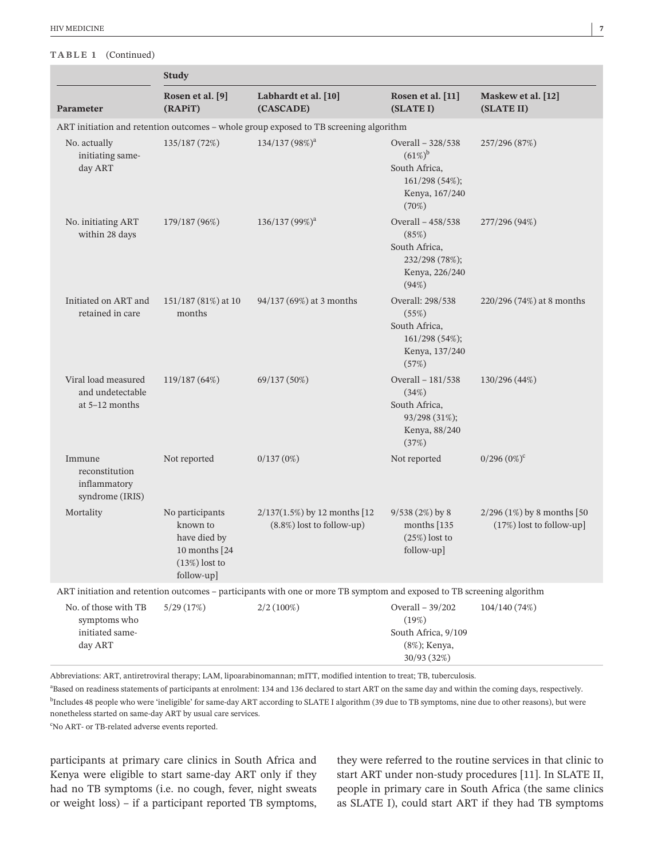#### **TABLE 1** (Continued)

|                                                             | <b>Study</b>                                                                                  |                                                                                                                        |                                                                                               |                                                            |  |
|-------------------------------------------------------------|-----------------------------------------------------------------------------------------------|------------------------------------------------------------------------------------------------------------------------|-----------------------------------------------------------------------------------------------|------------------------------------------------------------|--|
| Parameter                                                   | Rosen et al. [9]<br>(RAPiT)                                                                   | Labhardt et al. [10]<br>(CASCADE)                                                                                      | Rosen et al. [11]<br>(SLATE I)                                                                | Maskew et al. [12]<br>(SLATE II)                           |  |
|                                                             |                                                                                               | ART initiation and retention outcomes - whole group exposed to TB screening algorithm                                  |                                                                                               |                                                            |  |
| No. actually<br>initiating same-<br>day ART                 | 135/187 (72%)                                                                                 | 134/137 (98%) <sup>a</sup>                                                                                             | Overall - 328/538<br>$(61\%)^b$<br>South Africa,<br>161/298 (54%);<br>Kenya, 167/240<br>(70%) | 257/296 (87%)                                              |  |
| No. initiating ART<br>within 28 days                        | 179/187 (96%)                                                                                 | 136/137(99%) <sup>a</sup>                                                                                              | Overall - 458/538<br>(85%)<br>South Africa,<br>232/298 (78%);<br>Kenya, 226/240<br>(94%)      | 277/296 (94%)                                              |  |
| Initiated on ART and<br>retained in care                    | 151/187 (81%) at 10<br>months                                                                 | 94/137 (69%) at 3 months                                                                                               | Overall: 298/538<br>(55%)<br>South Africa,<br>161/298 (54%);<br>Kenya, 137/240<br>(57%)       | 220/296 (74%) at 8 months                                  |  |
| Viral load measured<br>and undetectable<br>at $5-12$ months | 119/187 (64%)                                                                                 | 69/137 (50%)                                                                                                           | Overall - 181/538<br>(34%)<br>South Africa,<br>93/298 (31%);<br>Kenya, 88/240<br>(37%)        | 130/296 (44%)                                              |  |
| Immune<br>reconstitution<br>inflammatory<br>syndrome (IRIS) | Not reported                                                                                  | 0/137(0%)                                                                                                              | Not reported                                                                                  | $0/296 (0\%)^c$                                            |  |
| Mortality                                                   | No participants<br>known to<br>have died by<br>10 months [24<br>$(13%)$ lost to<br>follow-up] | $2/137(1.5%)$ by 12 months [12<br>(8.8%) lost to follow-up)                                                            | $9/538(2%)$ by 8<br>months $[135]$<br>$(25%)$ lost to<br>follow-up]                           | $2/296$ (1%) by 8 months [50<br>$(17%)$ lost to follow-up] |  |
|                                                             |                                                                                               | ART initiation and retention outcomes - participants with one or more TB symptom and exposed to TB screening algorithm |                                                                                               |                                                            |  |
|                                                             |                                                                                               |                                                                                                                        |                                                                                               |                                                            |  |

| No. of those with TB | 5/29(17%) | $2/2(100\%)$        | Overall $-39/202$ | 104/140(74%) |  |
|----------------------|-----------|---------------------|-------------------|--------------|--|
| symptoms who         |           |                     | (19%)             |              |  |
| initiated same-      |           | South Africa, 9/109 |                   |              |  |
| day ART              |           |                     | (8%); Kenya,      |              |  |
|                      |           |                     | 30/93(32%)        |              |  |

Abbreviations: ART, antiretroviral therapy; LAM, lipoarabinomannan; mITT, modified intention to treat; TB, tuberculosis.

a Based on readiness statements of participants at enrolment: 134 and 136 declared to start ART on the same day and within the coming days, respectively.  $^{\rm b}$ Includes 48 people who were 'ineligible' for same-day ART according to SLATE I algorithm (39 due to TB symptoms, nine due to other reasons), but were nonetheless started on same-day ART by usual care services.

<sup>c</sup>No ART- or TB-related adverse events reported.

participants at primary care clinics in South Africa and Kenya were eligible to start same-day ART only if they had no TB symptoms (i.e. no cough, fever, night sweats or weight loss) – if a participant reported TB symptoms,

they were referred to the routine services in that clinic to start ART under non-study procedures [11]. In SLATE II, people in primary care in South Africa (the same clinics as SLATE I), could start ART if they had TB symptoms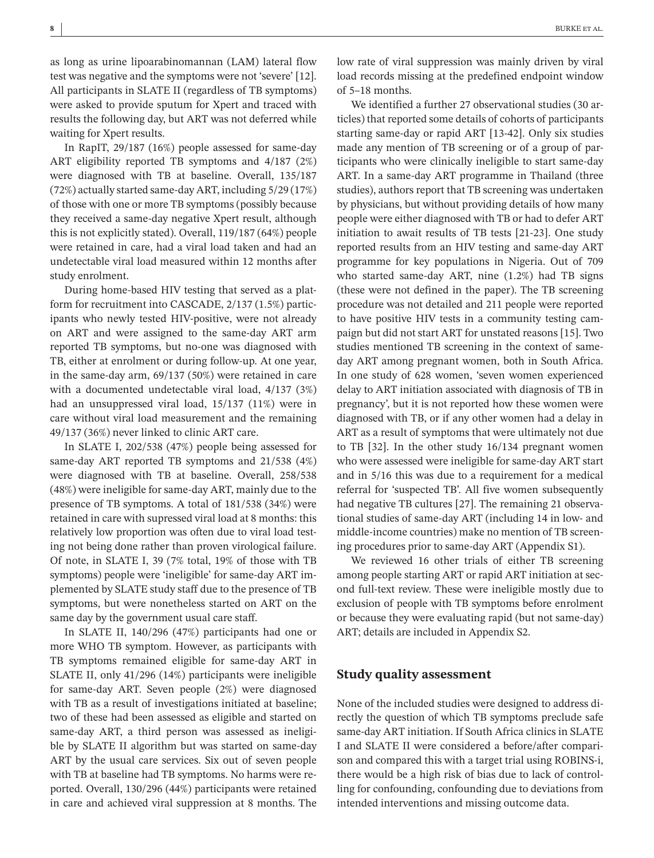as long as urine lipoarabinomannan (LAM) lateral flow test was negative and the symptoms were not 'severe' [12]. All participants in SLATE II (regardless of TB symptoms) were asked to provide sputum for Xpert and traced with results the following day, but ART was not deferred while waiting for Xpert results.

In RapIT, 29/187 (16%) people assessed for same-day ART eligibility reported TB symptoms and 4/187 (2%) were diagnosed with TB at baseline. Overall, 135/187 (72%) actually started same-day ART, including 5/29 (17%) of those with one or more TB symptoms (possibly because they received a same-day negative Xpert result, although this is not explicitly stated). Overall, 119/187 (64%) people were retained in care, had a viral load taken and had an undetectable viral load measured within 12 months after study enrolment.

During home-based HIV testing that served as a platform for recruitment into CASCADE, 2/137 (1.5%) participants who newly tested HIV-positive, were not already on ART and were assigned to the same-day ART arm reported TB symptoms, but no-one was diagnosed with TB, either at enrolment or during follow-up. At one year, in the same-day arm, 69/137 (50%) were retained in care with a documented undetectable viral load, 4/137 (3%) had an unsuppressed viral load, 15/137 (11%) were in care without viral load measurement and the remaining 49/137 (36%) never linked to clinic ART care.

In SLATE I, 202/538 (47%) people being assessed for same-day ART reported TB symptoms and 21/538 (4%) were diagnosed with TB at baseline. Overall, 258/538 (48%) were ineligible for same-day ART, mainly due to the presence of TB symptoms. A total of 181/538 (34%) were retained in care with supressed viral load at 8 months: this relatively low proportion was often due to viral load testing not being done rather than proven virological failure. Of note, in SLATE I, 39 (7% total, 19% of those with TB symptoms) people were 'ineligible' for same-day ART implemented by SLATE study staff due to the presence of TB symptoms, but were nonetheless started on ART on the same day by the government usual care staff.

In SLATE II, 140/296 (47%) participants had one or more WHO TB symptom. However, as participants with TB symptoms remained eligible for same-day ART in SLATE II, only 41/296 (14%) participants were ineligible for same-day ART. Seven people (2%) were diagnosed with TB as a result of investigations initiated at baseline; two of these had been assessed as eligible and started on same-day ART, a third person was assessed as ineligible by SLATE II algorithm but was started on same-day ART by the usual care services. Six out of seven people with TB at baseline had TB symptoms. No harms were reported. Overall, 130/296 (44%) participants were retained in care and achieved viral suppression at 8 months. The

low rate of viral suppression was mainly driven by viral load records missing at the predefined endpoint window of 5–18 months.

We identified a further 27 observational studies (30 articles) that reported some details of cohorts of participants starting same-day or rapid ART [13-42]. Only six studies made any mention of TB screening or of a group of participants who were clinically ineligible to start same-day ART. In a same-day ART programme in Thailand (three studies), authors report that TB screening was undertaken by physicians, but without providing details of how many people were either diagnosed with TB or had to defer ART initiation to await results of TB tests [21-23]. One study reported results from an HIV testing and same-day ART programme for key populations in Nigeria. Out of 709 who started same-day ART, nine (1.2%) had TB signs (these were not defined in the paper). The TB screening procedure was not detailed and 211 people were reported to have positive HIV tests in a community testing campaign but did not start ART for unstated reasons [15]. Two studies mentioned TB screening in the context of sameday ART among pregnant women, both in South Africa. In one study of 628 women, 'seven women experienced delay to ART initiation associated with diagnosis of TB in pregnancy', but it is not reported how these women were diagnosed with TB, or if any other women had a delay in ART as a result of symptoms that were ultimately not due to TB [32]. In the other study 16/134 pregnant women who were assessed were ineligible for same-day ART start and in 5/16 this was due to a requirement for a medical referral for 'suspected TB'. All five women subsequently had negative TB cultures [27]. The remaining 21 observational studies of same-day ART (including 14 in low- and middle-income countries) make no mention of TB screening procedures prior to same-day ART (Appendix S1).

We reviewed 16 other trials of either TB screening among people starting ART or rapid ART initiation at second full-text review. These were ineligible mostly due to exclusion of people with TB symptoms before enrolment or because they were evaluating rapid (but not same-day) ART; details are included in Appendix S2.

#### **Study quality assessment**

None of the included studies were designed to address directly the question of which TB symptoms preclude safe same-day ART initiation. If South Africa clinics in SLATE I and SLATE II were considered a before/after comparison and compared this with a target trial using ROBINS-i, there would be a high risk of bias due to lack of controlling for confounding, confounding due to deviations from intended interventions and missing outcome data.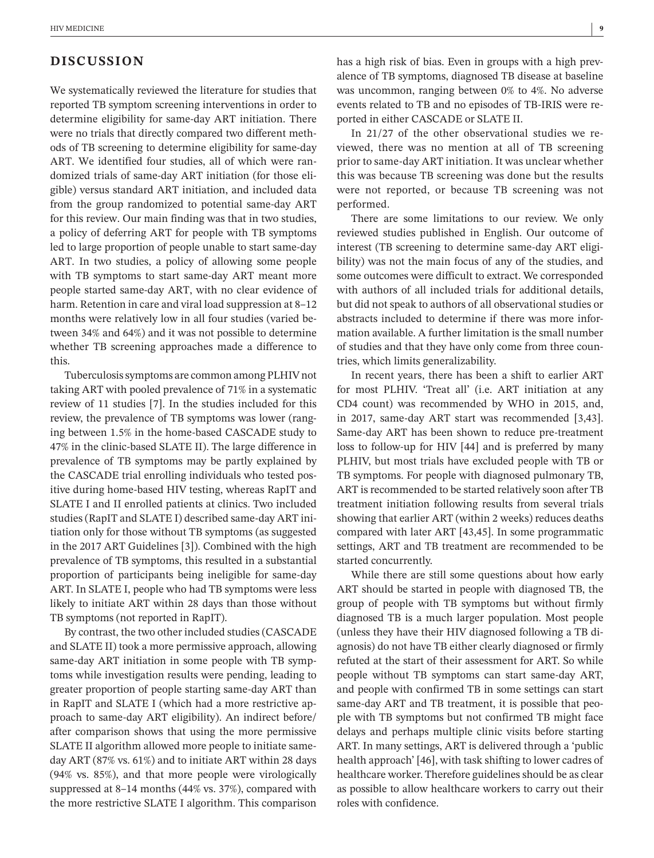# **DISCUSSION**

We systematically reviewed the literature for studies that reported TB symptom screening interventions in order to determine eligibility for same-day ART initiation. There were no trials that directly compared two different methods of TB screening to determine eligibility for same-day ART. We identified four studies, all of which were randomized trials of same-day ART initiation (for those eligible) versus standard ART initiation, and included data from the group randomized to potential same-day ART for this review. Our main finding was that in two studies, a policy of deferring ART for people with TB symptoms led to large proportion of people unable to start same-day ART. In two studies, a policy of allowing some people with TB symptoms to start same-day ART meant more people started same-day ART, with no clear evidence of harm. Retention in care and viral load suppression at 8–12 months were relatively low in all four studies (varied between 34% and 64%) and it was not possible to determine whether TB screening approaches made a difference to this.

Tuberculosis symptoms are common among PLHIV not taking ART with pooled prevalence of 71% in a systematic review of 11 studies [7]. In the studies included for this review, the prevalence of TB symptoms was lower (ranging between 1.5% in the home-based CASCADE study to 47% in the clinic-based SLATE II). The large difference in prevalence of TB symptoms may be partly explained by the CASCADE trial enrolling individuals who tested positive during home-based HIV testing, whereas RapIT and SLATE I and II enrolled patients at clinics. Two included studies (RapIT and SLATE I) described same-day ART initiation only for those without TB symptoms (as suggested in the 2017 ART Guidelines [3]). Combined with the high prevalence of TB symptoms, this resulted in a substantial proportion of participants being ineligible for same-day ART. In SLATE I, people who had TB symptoms were less likely to initiate ART within 28 days than those without TB symptoms (not reported in RapIT).

By contrast, the two other included studies (CASCADE and SLATE II) took a more permissive approach, allowing same-day ART initiation in some people with TB symptoms while investigation results were pending, leading to greater proportion of people starting same-day ART than in RapIT and SLATE I (which had a more restrictive approach to same-day ART eligibility). An indirect before/ after comparison shows that using the more permissive SLATE II algorithm allowed more people to initiate sameday ART (87% vs. 61%) and to initiate ART within 28 days (94% vs. 85%), and that more people were virologically suppressed at 8–14 months (44% vs. 37%), compared with the more restrictive SLATE I algorithm. This comparison

has a high risk of bias. Even in groups with a high prevalence of TB symptoms, diagnosed TB disease at baseline was uncommon, ranging between 0% to 4%. No adverse events related to TB and no episodes of TB-IRIS were reported in either CASCADE or SLATE II.

In 21/27 of the other observational studies we reviewed, there was no mention at all of TB screening prior to same-day ART initiation. It was unclear whether this was because TB screening was done but the results were not reported, or because TB screening was not performed.

There are some limitations to our review. We only reviewed studies published in English. Our outcome of interest (TB screening to determine same-day ART eligibility) was not the main focus of any of the studies, and some outcomes were difficult to extract. We corresponded with authors of all included trials for additional details, but did not speak to authors of all observational studies or abstracts included to determine if there was more information available. A further limitation is the small number of studies and that they have only come from three countries, which limits generalizability.

In recent years, there has been a shift to earlier ART for most PLHIV. 'Treat all' (i.e. ART initiation at any CD4 count) was recommended by WHO in 2015, and, in 2017, same-day ART start was recommended [3,43]. Same-day ART has been shown to reduce pre-treatment loss to follow-up for HIV [44] and is preferred by many PLHIV, but most trials have excluded people with TB or TB symptoms. For people with diagnosed pulmonary TB, ART is recommended to be started relatively soon after TB treatment initiation following results from several trials showing that earlier ART (within 2 weeks) reduces deaths compared with later ART [43,45]. In some programmatic settings, ART and TB treatment are recommended to be started concurrently.

While there are still some questions about how early ART should be started in people with diagnosed TB, the group of people with TB symptoms but without firmly diagnosed TB is a much larger population. Most people (unless they have their HIV diagnosed following a TB diagnosis) do not have TB either clearly diagnosed or firmly refuted at the start of their assessment for ART. So while people without TB symptoms can start same-day ART, and people with confirmed TB in some settings can start same-day ART and TB treatment, it is possible that people with TB symptoms but not confirmed TB might face delays and perhaps multiple clinic visits before starting ART. In many settings, ART is delivered through a 'public health approach' [46], with task shifting to lower cadres of healthcare worker. Therefore guidelines should be as clear as possible to allow healthcare workers to carry out their roles with confidence.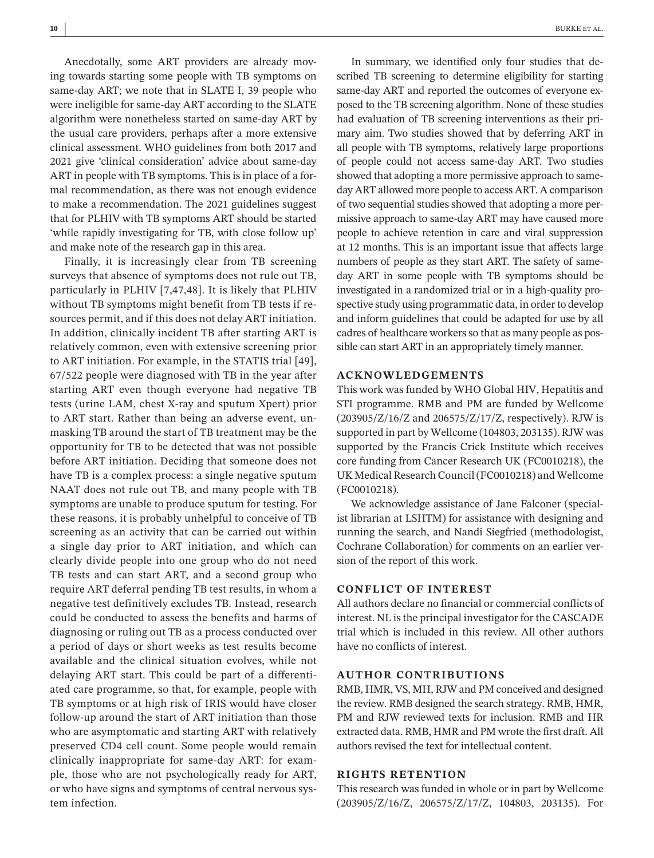Anecdotally, some ART providers are already moving towards starting some people with TB symptoms on same-day ART; we note that in SLATE I, 39 people who were ineligible for same-day ART according to the SLATE algorithm were nonetheless started on same-day ART by the usual care providers, perhaps after a more extensive clinical assessment. WHO guidelines from both 2017 and 2021 give 'clinical consideration' advice about same-day ART in people with TB symptoms. This is in place of a formal recommendation, as there was not enough evidence to make a recommendation. The 2021 guidelines suggest that for PLHIV with TB symptoms ART should be started 'while rapidly investigating for TB, with close follow up' and make note of the research gap in this area.

Finally, it is increasingly clear from TB screening surveys that absence of symptoms does not rule out TB, particularly in PLHIV [7,47,48]. It is likely that PLHIV without TB symptoms might benefit from TB tests if resources permit, and if this does not delay ART initiation. In addition, clinically incident TB after starting ART is relatively common, even with extensive screening prior to ART initiation. For example, in the STATIS trial [49], 67/522 people were diagnosed with TB in the year after starting ART even though everyone had negative TB tests (urine LAM, chest X-ray and sputum Xpert) prior to ART start. Rather than being an adverse event, unmasking TB around the start of TB treatment may be the opportunity for TB to be detected that was not possible before ART initiation. Deciding that someone does not have TB is a complex process: a single negative sputum NAAT does not rule out TB, and many people with TB symptoms are unable to produce sputum for testing. For these reasons, it is probably unhelpful to conceive of TB screening as an activity that can be carried out within a single day prior to ART initiation, and which can clearly divide people into one group who do not need TB tests and can start ART, and a second group who require ART deferral pending TB test results, in whom a negative test definitively excludes TB. Instead, research could be conducted to assess the benefits and harms of diagnosing or ruling out TB as a process conducted over a period of days or short weeks as test results become available and the clinical situation evolves, while not delaying ART start. This could be part of a differentiated care programme, so that, for example, people with TB symptoms or at high risk of IRIS would have closer follow-up around the start of ART initiation than those who are asymptomatic and starting ART with relatively preserved CD4 cell count. Some people would remain clinically inappropriate for same-day ART: for example, those who are not psychologically ready for ART, or who have signs and symptoms of central nervous system infection.

In summary, we identified only four studies that described TB screening to determine eligibility for starting same-day ART and reported the outcomes of everyone exposed to the TB screening algorithm. None of these studies had evaluation of TB screening interventions as their primary aim. Two studies showed that by deferring ART in all people with TB symptoms, relatively large proportions of people could not access same-day ART. Two studies showed that adopting a more permissive approach to sameday ART allowed more people to access ART. A comparison of two sequential studies showed that adopting a more permissive approach to same-day ART may have caused more people to achieve retention in care and viral suppression at 12 months. This is an important issue that affects large numbers of people as they start ART. The safety of sameday ART in some people with TB symptoms should be investigated in a randomized trial or in a high-quality prospective study using programmatic data, in order to develop and inform guidelines that could be adapted for use by all cadres of healthcare workers so that as many people as possible can start ART in an appropriately timely manner.

## **ACKNOWLEDGEMENTS**

This work was funded by WHO Global HIV, Hepatitis and STI programme. RMB and PM are funded by Wellcome (203905/Z/16/Z and 206575/Z/17/Z, respectively). RJW is supported in part by Wellcome (104803, 203135). RJW was supported by the Francis Crick Institute which receives core funding from Cancer Research UK (FC0010218), the UK Medical Research Council (FC0010218) and Wellcome (FC0010218).

We acknowledge assistance of Jane Falconer (specialist librarian at LSHTM) for assistance with designing and running the search, and Nandi Siegfried (methodologist, Cochrane Collaboration) for comments on an earlier version of the report of this work.

## **CONFLICT OF INTEREST**

All authors declare no financial or commercial conflicts of interest. NL is the principal investigator for the CASCADE trial which is included in this review. All other authors have no conflicts of interest.

#### **AUTHOR CONTRIBUTIONS**

RMB, HMR, VS, MH, RJW and PM conceived and designed the review. RMB designed the search strategy. RMB, HMR, PM and RJW reviewed texts for inclusion. RMB and HR extracted data. RMB, HMR and PM wrote the first draft. All authors revised the text for intellectual content.

# **RIGHTS RETENTION**

This research was funded in whole or in part by Wellcome (203905/Z/16/Z, 206575/Z/17/Z, 104803, 203135). For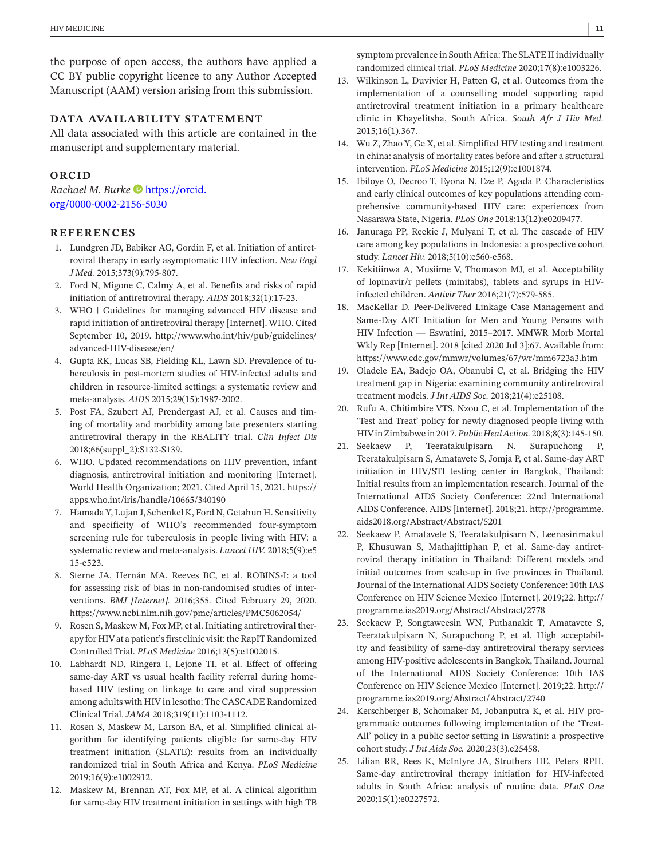the purpose of open access, the authors have applied a CC BY public copyright licence to any Author Accepted Manuscript (AAM) version arising from this submission.

#### **DATA AVAILABILITY STATEMENT**

All data associated with this article are contained in the manuscript and supplementary material.

# **ORCID**

*Rachael M. Burke* [https://orcid.](https://orcid.org/0000-0002-2156-5030) [org/0000-0002-2156-5030](https://orcid.org/0000-0002-2156-5030)

## **REFERENCES**

- 1. Lundgren JD, Babiker AG, Gordin F, et al. Initiation of antiretroviral therapy in early asymptomatic HIV infection. *New Engl J Med.* 2015;373(9):795-807.
- 2. Ford N, Migone C, Calmy A, et al. Benefits and risks of rapid initiation of antiretroviral therapy. *AIDS* 2018;32(1):17-23.
- 3. WHO | Guidelines for managing advanced HIV disease and rapid initiation of antiretroviral therapy [Internet]. WHO. Cited September 10, 2019. [http://www.who.int/hiv/pub/guidelines/](http://www.who.int/hiv/pub/guidelines/advanced-HIV-disease/en/) [advanced-HIV-disease/en/](http://www.who.int/hiv/pub/guidelines/advanced-HIV-disease/en/)
- 4. Gupta RK, Lucas SB, Fielding KL, Lawn SD. Prevalence of tuberculosis in post-mortem studies of HIV-infected adults and children in resource-limited settings: a systematic review and meta-analysis. *AIDS* 2015;29(15):1987-2002.
- 5. Post FA, Szubert AJ, Prendergast AJ, et al. Causes and timing of mortality and morbidity among late presenters starting antiretroviral therapy in the REALITY trial. *Clin Infect Dis* 2018;66(suppl\_2):S132-S139.
- 6. WHO. Updated recommendations on HIV prevention, infant diagnosis, antiretroviral initiation and monitoring [Internet]. World Health Organization; 2021. Cited April 15, 2021. [https://](https://apps.who.int/iris/handle/10665/340190) [apps.who.int/iris/handle/10665/340190](https://apps.who.int/iris/handle/10665/340190)
- 7. HamadaY, Lujan J, Schenkel K, Ford N, Getahun H. Sensitivity and specificity of WHO's recommended four-symptom screening rule for tuberculosis in people living with HIV: a systematic review and meta-analysis. *Lancet HIV.* 2018;5(9):e5 15-e523.
- 8. Sterne JA, Hernán MA, Reeves BC, et al. ROBINS-I: a tool for assessing risk of bias in non-randomised studies of interventions. *BMJ [Internet].* 2016;355. Cited February 29, 2020. <https://www.ncbi.nlm.nih.gov/pmc/articles/PMC5062054/>
- 9. Rosen S, Maskew M, Fox MP, et al. Initiating antiretroviral therapy for HIV at a patient's first clinic visit: the RapIT Randomized Controlled Trial. *PLoS Medicine* 2016;13(5):e1002015.
- 10. Labhardt ND, Ringera I, Lejone TI, et al. Effect of offering same-day ART vs usual health facility referral during homebased HIV testing on linkage to care and viral suppression among adults with HIV in lesotho: The CASCADE Randomized Clinical Trial. *JAMA* 2018;319(11):1103-1112.
- 11. Rosen S, Maskew M, Larson BA, et al. Simplified clinical algorithm for identifying patients eligible for same-day HIV treatment initiation (SLATE): results from an individually randomized trial in South Africa and Kenya. *PLoS Medicine* 2019;16(9):e1002912.
- 12. Maskew M, Brennan AT, Fox MP, et al. A clinical algorithm for same-day HIV treatment initiation in settings with high TB

symptom prevalence in South Africa: The SLATE II individually randomized clinical trial. *PLoS Medicine* 2020;17(8):e1003226.

- 13. Wilkinson L, Duvivier H, Patten G, et al. Outcomes from the implementation of a counselling model supporting rapid antiretroviral treatment initiation in a primary healthcare clinic in Khayelitsha, South Africa. *South Afr J Hiv Med.* 2015;16(1).367.
- 14. Wu Z, Zhao Y, Ge X, et al. Simplified HIV testing and treatment in china: analysis of mortality rates before and after a structural intervention. *PLoS Medicine* 2015;12(9):e1001874.
- 15. Ibiloye O, Decroo T, Eyona N, Eze P, Agada P. Characteristics and early clinical outcomes of key populations attending comprehensive community-based HIV care: experiences from Nasarawa State, Nigeria. *PLoS One* 2018;13(12):e0209477.
- 16. Januraga PP, Reekie J, Mulyani T, et al. The cascade of HIV care among key populations in Indonesia: a prospective cohort study. *Lancet Hiv.* 2018;5(10):e560-e568.
- 17. Kekitiinwa A, Musiime V, Thomason MJ, et al. Acceptability of lopinavir/r pellets (minitabs), tablets and syrups in HIVinfected children. *Antivir Ther* 2016;21(7):579-585.
- 18. MacKellar D. Peer-Delivered Linkage Case Management and Same-Day ART Initiation for Men and Young Persons with HIV Infection — Eswatini, 2015–2017. MMWR Morb Mortal Wkly Rep [Internet]. 2018 [cited 2020 Jul 3];67. Available from: <https://www.cdc.gov/mmwr/volumes/67/wr/mm6723a3.htm>
- 19. Oladele EA, Badejo OA, Obanubi C, et al. Bridging the HIV treatment gap in Nigeria: examining community antiretroviral treatment models. *J Int AIDS Soc.* 2018;21(4):e25108.
- 20. Rufu A, Chitimbire VTS, Nzou C, et al. Implementation of the 'Test and Treat' policy for newly diagnosed people living with HIVinZimbabwe in2017.*Public Heal Action.* 2018;8(3):145-150.
- 21. Seekaew P, Teeratakulpisarn N, Surapuchong P, Teeratakulpisarn S, Amatavete S, Jomja P, et al. Same-day ART initiation in HIV/STI testing center in Bangkok, Thailand: Initial results from an implementation research. Journal of the International AIDS Society Conference: 22nd International AIDS Conference, AIDS [Internet]. 2018;21. [http://programme.](http://programme.aids2018.org/Abstract/Abstract/5201) [aids2018.org/Abstract/Abstract/5201](http://programme.aids2018.org/Abstract/Abstract/5201)
- 22. Seekaew P, Amatavete S, Teeratakulpisarn N, Leenasirimakul P, Khusuwan S, Mathajittiphan P, et al. Same-day antiretroviral therapy initiation in Thailand: Different models and initial outcomes from scale-up in five provinces in Thailand. Journal of the International AIDS Society Conference: 10th IAS Conference on HIV Science Mexico [Internet]. 2019;22. [http://](http://programme.ias2019.org/Abstract/Abstract/2778) [programme.ias2019.org/Abstract/Abstract/2778](http://programme.ias2019.org/Abstract/Abstract/2778)
- 23. Seekaew P, Songtaweesin WN, Puthanakit T, Amatavete S, Teeratakulpisarn N, Surapuchong P, et al. High acceptability and feasibility of same-day antiretroviral therapy services among HIV-positive adolescents in Bangkok, Thailand. Journal of the International AIDS Society Conference: 10th IAS Conference on HIV Science Mexico [Internet]. 2019;22. [http://](http://programme.ias2019.org/Abstract/Abstract/2740) [programme.ias2019.org/Abstract/Abstract/2740](http://programme.ias2019.org/Abstract/Abstract/2740)
- 24. Kerschberger B, Schomaker M, Jobanputra K, et al. HIV programmatic outcomes following implementation of the 'Treat-All' policy in a public sector setting in Eswatini: a prospective cohort study. *J Int Aids Soc.* 2020;23(3).e25458.
- 25. Lilian RR, Rees K, McIntyre JA, Struthers HE, Peters RPH. Same-day antiretroviral therapy initiation for HIV-infected adults in South Africa: analysis of routine data. *PLoS One* 2020;15(1):e0227572.